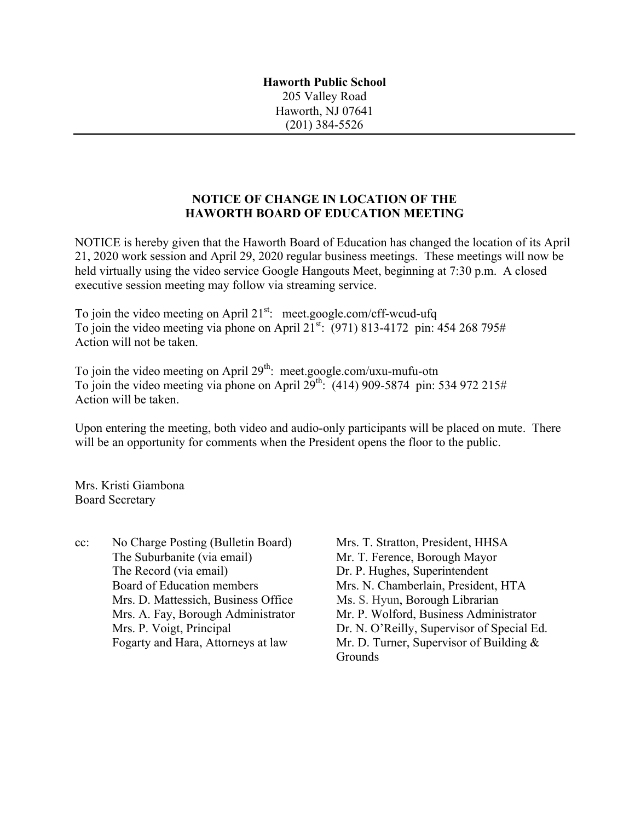**Haworth Public School** 205 Valley Road Haworth, NJ 07641 (201) 384-5526

## **NOTICE OF CHANGE IN LOCATION OF THE HAWORTH BOARD OF EDUCATION MEETING**

NOTICE is hereby given that the Haworth Board of Education has changed the location of its April 21, 2020 work session and April 29, 2020 regular business meetings. These meetings will now be held virtually using the video service Google Hangouts Meet, beginning at 7:30 p.m. A closed executive session meeting may follow via streaming service.

To join the video meeting on April  $21^{st}$ : meet.google.com/cff-wcud-ufq To join the video meeting via phone on April  $21^{st}$ : (971) 813-4172 pin: 454 268 795# Action will not be taken.

To join the video meeting on April  $29<sup>th</sup>$ : meet.google.com/uxu-mufu-otn To join the video meeting via phone on April  $29^{\text{th}}$ : (414) 909-5874 pin: 534 972 215# Action will be taken.

Upon entering the meeting, both video and audio-only participants will be placed on mute. There will be an opportunity for comments when the President opens the floor to the public.

Mrs. Kristi Giambona Board Secretary

cc: No Charge Posting (Bulletin Board) Mrs. T. Stratton, President, HHSA The Suburbanite (via email) Mr. T. Ference, Borough Mayor The Record (via email) Dr. P. Hughes, Superintendent Mrs. D. Mattessich, Business Office Ms. S. Hyun, Borough Librarian

Board of Education members Mrs. N. Chamberlain, President, HTA Mrs. A. Fay, Borough Administrator Mr. P. Wolford, Business Administrator Mrs. P. Voigt, Principal Dr. N. O'Reilly, Supervisor of Special Ed. Fogarty and Hara, Attorneys at law Mr. D. Turner, Supervisor of Building & **Grounds**